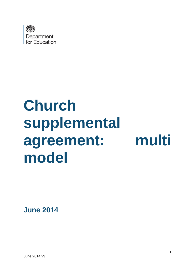

# **Church supplemental agreement: multi model**

**June 2014**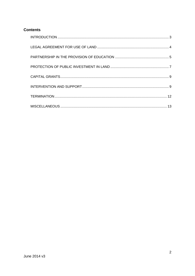## **Contents**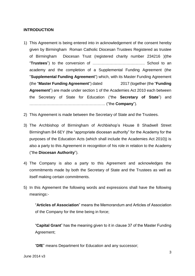## <span id="page-2-0"></span>**INTRODUCTION**

- 1) This Agreement is being entered into in acknowledgement of the consent hereby given by Birmingham Roman Catholic Diocesan Trustees Registered as trustee of Birmingham Diocesan Trust (registered charity number 234216 )(the "**Trustees**") to the conversion of …………………………………. School to an academy and the completion of a Supplemental Funding Agreement (the "**Supplemental Funding Agreement**") which, with its Master Funding Agreement (the "**Master Funding Agreement**") dated 2017 (together (the "**Funding Agreement**") are made under section 1 of the Academies Act 2010 each between the Secretary of State for Education ("the **Secretary of State**") and …………………………………………………. ("the **Company**").
- 2) This Agreement is made between the Secretary of State and the Trustees.
- 3) The Archbishop of Birmingham of Archbishop's House 8 Shadwell Street Birmingham B4 6EY (the "appropriate diocesan authority" for the Academy for the purposes of the Education Acts (which shall include the Academies Act 2010)) is also a party to this Agreement in recognition of his role in relation to the Academy ("the **Diocesan Authority**").
- 4) The Company is also a party to this Agreement and acknowledges the commitments made by both the Secretary of State and the Trustees as well as itself making certain commitments.
- 5) In this Agreement the following words and expressions shall have the following meanings:-

"**Articles of Association**" means the Memorandum and Articles of Association of the Company for the time being in force;

"**Capital Grant**" has the meaning given to it in clause 37 of the Master Funding Agreement;

"**DfE**" means Department for Education and any successor;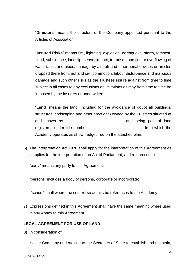"**Directors**" means the directors of the Company appointed pursuant to the Articles of Association;

"**Insured Risks**" means fire, lightning, explosion, earthquake, storm, tempest, flood, subsidence, landslip, heave, impact, terrorism, bursting or overflowing of water tanks and pipes, damage by aircraft and other aerial devices or articles dropped there from, riot and civil commotion, labour disturbance and malicious damage and such other risks as the Trustees insure against from time to time subject in all cases to any exclusions or limitations as may from time to time be imposed by the insurers or underwriters;

"**Land**" means the land (including for the avoidance of doubt all buildings, structures landscaping and other erections) owned by the Trustees situated at and known as …………………………………….. and being part of land registered under title number …………………………………… from which the Academy operates as shown edged red on the attached plan.

6) The Interpretation Act 1978 shall apply for the interpretation of this Agreement as it applies for the interpretation of an Act of Parliament, and references to:

"party" means any party to this Agreement;

"persons" includes a body of persons, corporate or incorporate;

"school" shall where the context so admits be references to the Academy.

7) Expressions defined in this Agreement shall have the same meaning where used in any Annex to this Agreement.

#### <span id="page-3-0"></span>**LEGAL AGREEMENT FOR USE OF LAND**

- 8) In consideration of:
	- a) the Company undertaking to the Secretary of State to establish and maintain,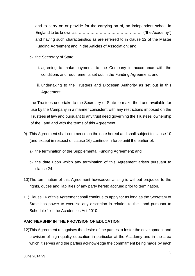and to carry on or provide for the carrying on of, an independent school in England to be known as ………………………………………….. ("the Academy") and having such characteristics as are referred to in clause 12 of the Master Funding Agreement and in the Articles of Association; and

- b) the Secretary of State:
	- i. agreeing to make payments to the Company in accordance with the conditions and requirements set out in the Funding Agreement, and
	- ii. undertaking to the Trustees and Diocesan Authority as set out in this Agreement;

the Trustees undertake to the Secretary of State to make the Land available for use by the Company in a manner consistent with any restrictions imposed on the Trustees at law and pursuant to any trust deed governing the Trustees' ownership of the Land and with the terms of this Agreement.

- 9) This Agreement shall commence on the date hereof and shall subject to clause 10 (and except in respect of clause 16) continue in force until the earlier of:
	- a) the termination of the Supplemental Funding Agreement; and
	- b) the date upon which any termination of this Agreement arises pursuant to clause 24.
- 10)The termination of this Agreement howsoever arising is without prejudice to the rights, duties and liabilities of any party hereto accrued prior to termination.
- 11)Clause 16 of this Agreement shall continue to apply for as long as the Secretary of State has power to exercise any discretion in relation to the Land pursuant to Schedule 1 of the Academies Act 2010.

#### <span id="page-4-0"></span>**PARTNERSHIP IN THE PROVISION OF EDUCATION**

12)This Agreement recognises the desire of the parties to foster the development and provision of high quality education in particular at the Academy and in the area which it serves and the parties acknowledge the commitment being made by each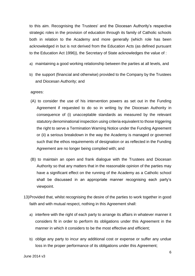to this aim. Recognising the Trustees' and the Diocesan Authority's respective strategic roles in the provision of education through its family of Catholic schools both in relation to the Academy and more generally (which role has been acknowledged in but is not derived from the Education Acts (as defined pursuant to the Education Act 1996)), the Secretary of State acknowledges the value of :

- a) maintaining a good working relationship between the parties at all levels, and
- b) the support (financial and otherwise) provided to the Company by the Trustees and Diocesan Authority; and

agrees:

- (A) to consider the use of his intervention powers as set out in the Funding Agreement if requested to do so in writing by the Diocesan Authority in consequence of (i) unacceptable standards as measured by the relevant statutory denominational inspection using criteria equivalent to those triggering the right to serve a Termination Warning Notice under the Funding Agreement or (ii) a serious breakdown in the way the Academy is managed or governed such that the ethos requirements of designation or as reflected in the Funding Agreement are no longer being complied with; and
- (B) to maintain an open and frank dialogue with the Trustees and Diocesan Authority so that any matters that in the reasonable opinion of the parties may have a significant effect on the running of the Academy as a Catholic school shall be discussed in an appropriate manner recognising each party's viewpoint.
- 13)Provided that, whilst recognising the desire of the parties to work together in good faith and with mutual respect, nothing in this Agreement shall:
	- a) interfere with the right of each party to arrange its affairs in whatever manner it considers fit in order to perform its obligations under this Agreement in the manner in which it considers to be the most effective and efficient;
	- b) oblige any party to incur any additional cost or expense or suffer any undue loss in the proper performance of its obligations under this Agreement;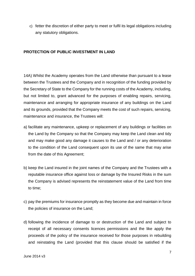c) fetter the discretion of either party to meet or fulfil its legal obligations including any statutory obligations.

## <span id="page-6-0"></span>**PROTECTION OF PUBLIC INVESTMENT IN LAND**

14A) Whilst the Academy operates from the Land otherwise than pursuant to a lease between the Trustees and the Company and in recognition of the funding provided by the Secretary of State to the Company for the running costs of the Academy, including, but not limited to, grant advanced for the purposes of enabling repairs, servicing, maintenance and arranging for appropriate insurance of any buildings on the Land and its grounds, provided that the Company meets the cost of such repairs, servicing, maintenance and insurance, the Trustees will:

- a) facilitate any maintenance, upkeep or replacement of any buildings or facilities on the Land by the Company so that the Company may keep the Land clean and tidy and may make good any damage it causes to the Land and / or any deterioration to the condition of the Land consequent upon its use of the same that may arise from the date of this Agreement;
- b) keep the Land insured in the joint names of the Company and the Trustees with a reputable insurance office against loss or damage by the Insured Risks in the sum the Company is advised represents the reinstatement value of the Land from time to time;
- c) pay the premiums for insurance promptly as they become due and maintain in force the policies of insurance on the Land;
- d) following the incidence of damage to or destruction of the Land and subject to receipt of all necessary consents licences permissions and the like apply the proceeds of the policy of the insurance received for those purposes in rebuilding and reinstating the Land (provided that this clause should be satisfied if the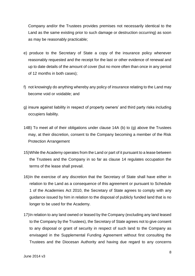Company and/or the Trustees provides premises not necessarily identical to the Land as the same existing prior to such damage or destruction occurring) as soon as may be reasonably practicable;

- e) produce to the Secretary of State a copy of the insurance policy whenever reasonably requested and the receipt for the last or other evidence of renewal and up to date details of the amount of cover (but no more often than once in any period of 12 months in both cases);
- f) not knowingly do anything whereby any policy of insurance relating to the Land may become void or voidable; and
- g) insure against liability in respect of property owners' and third party risks including occupiers liability.
- 14B) To meet all of their obligations under clause 14A (b) to (g) above the Trustees may, at their discretion, consent to the Company becoming a member of the Risk Protection Arrangement
- 15)While the Academy operates from the Land or part of it pursuant to a lease between the Trustees and the Company in so far as clause 14 regulates occupation the terms of the lease shall prevail.
- 16)In the exercise of any discretion that the Secretary of State shall have either in relation to the Land as a consequence of this agreement or pursuant to Schedule 1 of the Academies Act 2010, the Secretary of State agrees to comply with any guidance issued by him in relation to the disposal of publicly funded land that is no longer to be used for the Academy.
- 17)In relation to any land owned or leased by the Company (excluding any land leased to the Company by the Trustees), the Secretary of State agrees not to give consent to any disposal or grant of security in respect of such land to the Company as envisaged in the Supplemental Funding Agreement without first consulting the Trustees and the Diocesan Authority and having due regard to any concerns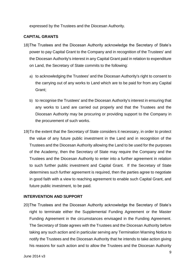expressed by the Trustees and the Diocesan Authority.

## <span id="page-8-0"></span>**CAPITAL GRANTS**

- 18)The Trustees and the Diocesan Authority acknowledge the Secretary of State's power to pay Capital Grant to the Company and in recognition of the Trustees' and the Diocesan Authority's interest in any Capital Grant paid in relation to expenditure on Land, the Secretary of State commits to the following:
	- a) to acknowledging the Trustees' and the Diocesan Authority's right to consent to the carrying out of any works to Land which are to be paid for from any Capital Grant;
	- b) to recognise the Trustees' and the Diocesan Authority's interest in ensuring that any works to Land are carried out properly and that the Trustees and the Diocesan Authority may be procuring or providing support to the Company in the procurement of such works.
- 19)To the extent that the Secretary of State considers it necessary, in order to protect the value of any future public investment in the Land and in recognition of the Trustees and the Diocesan Authority allowing the Land to be used for the purposes of the Academy, then the Secretary of State may require the Company and the Trustees and the Diocesan Authority to enter into a further agreement in relation to such further public investment and Capital Grant. If the Secretary of State determines such further agreement is required, then the parties agree to negotiate in good faith with a view to reaching agreement to enable such Capital Grant, and future public investment, to be paid.

## <span id="page-8-1"></span>**INTERVENTION AND SUPPORT**

20)The Trustees and the Diocesan Authority acknowledge the Secretary of State's right to terminate either the Supplemental Funding Agreement or the Master Funding Agreement in the circumstances envisaged in the Funding Agreement. The Secretary of State agrees with the Trustees and the Diocesan Authority before taking any such action and in particular serving any Termination Warning Notice to notify the Trustees and the Diocesan Authority that he intends to take action giving his reasons for such action and to allow the Trustees and the Diocesan Authority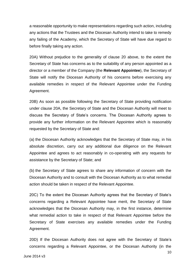a reasonable opportunity to make representations regarding such action, including any actions that the Trustees and the Diocesan Authority intend to take to remedy any failing of the Academy, which the Secretary of State will have due regard to before finally taking any action.

20A) Without prejudice to the generality of clause 20 above, to the extent the Secretary of State has concerns as to the suitability of any person appointed as a director or a member of the Company (the **Relevant Appointee**), the Secretary of State will notify the Diocesan Authority of his concerns before exercising any available remedies in respect of the Relevant Appointee under the Funding Agreement.

20B) As soon as possible following the Secretary of State providing notification under clause 20A, the Secretary of State and the Diocesan Authority will meet to discuss the Secretary of State's concerns. The Diocesan Authority agrees to provide any further information on the Relevant Appointee which is reasonably requested by the Secretary of State and:

(a) the Diocesan Authority acknowledges that the Secretary of State may, in his absolute discretion, carry out any additional due diligence on the Relevant Appointee and agrees to act reasonably in co-operating with any requests for assistance by the Secretary of State; and

(b) the Secretary of State agrees to share any information of concern with the Diocesan Authority and to consult with the Diocesan Authority as to what remedial action should be taken in respect of the Relevant Appointee.

20C) To the extent the Diocesan Authority agrees that the Secretary of State's concerns regarding a Relevant Appointee have merit, the Secretary of State acknowledges that the Diocesan Authority may, in the first instance, determine what remedial action to take in respect of that Relevant Appointee before the Secretary of State exercises any available remedies under the Funding Agreement.

20D) If the Diocesan Authority does not agree with the Secretary of State's concerns regarding a Relevant Appointee, or the Diocesan Authority (in the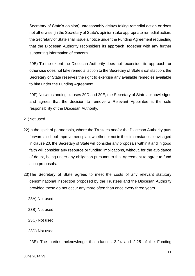Secretary of State's opinion) unreasonably delays taking remedial action or does not otherwise (in the Secretary of State's opinion) take appropriate remedial action, the Secretary of State shall issue a notice under the Funding Agreement requesting that the Diocesan Authority reconsiders its approach, together with any further supporting information of concern.

20E) To the extent the Diocesan Authority does not reconsider its approach, or otherwise does not take remedial action to the Secretary of State's satisfaction, the Secretary of State reserves the right to exercise any available remedies available to him under the Funding Agreement.

20F) Notwithstanding clauses 20D and 20E, the Secretary of State acknowledges and agrees that the decision to remove a Relevant Appointee is the sole responsibility of the Diocesan Authority.

21)Not used.

- 22)In the spirit of partnership, where the Trustees and/or the Diocesan Authority puts forward a school improvement plan, whether or not in the circumstances envisaged in clause 20, the Secretary of State will consider any proposals within it and in good faith will consider any resource or funding implications, without, for the avoidance of doubt, being under any obligation pursuant to this Agreement to agree to fund such proposals.
- 23)The Secretary of State agrees to meet the costs of any relevant statutory denominational inspection proposed by the Trustees and the Diocesan Authority provided these do not occur any more often than once every three years.

23A) Not used.

23B) Not used.

23C) Not used.

23D) Not used.

23E) The parties acknowledge that clauses 2.24 and 2.25 of the Funding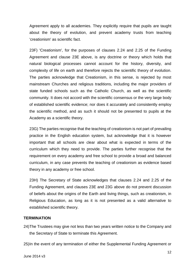Agreement apply to all academies. They explicitly require that pupils are taught about the theory of evolution, and prevent academy trusts from teaching 'creationism' as scientific fact.

23F) 'Creationism', for the purposes of clauses 2.24 and 2.25 of the Funding Agreement and clause 23E above, is any doctrine or theory which holds that natural biological processes cannot account for the history, diversity, and complexity of life on earth and therefore rejects the scientific theory of evolution. The parties acknowledge that Creationism, in this sense, is rejected by most mainstream Churches and religious traditions, including the major providers of state funded schools such as the Catholic Church, as well as the scientific community. It does not accord with the scientific consensus or the very large body of established scientific evidence; nor does it accurately and consistently employ the scientific method, and as such it should not be presented to pupils at the Academy as a scientific theory.

23G) The parties recognise that the teaching of creationism is not part of prevailing practice in the English education system, but acknowledge that it is however important that all schools are clear about what is expected in terms of the curriculum which they need to provide. The parties further recognise that the requirement on every academy and free school to provide a broad and balanced curriculum, in any case prevents the teaching of creationism as evidence based theory in any academy or free school.

23H) The Secretary of State acknowledges that clauses 2.24 and 2.25 of the Funding Agreement, and clauses 23E and 23G above do not prevent discussion of beliefs about the origins of the Earth and living things, such as creationism, in Religious Education, as long as it is not presented as a valid alternative to established scientific theory.

#### <span id="page-11-0"></span>**TERMINATION**

24)The Trustees may give not less than two years written notice to the Company and the Secretary of State to terminate this Agreement.

25)In the event of any termination of either the Supplemental Funding Agreement or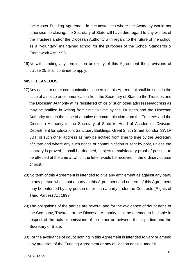the Master Funding Agreement in circumstances where the Academy would not otherwise be closing, the Secretary of State will have due regard to any wishes of the Trustees and/or the Diocesan Authority with regard to the future of the school as a "voluntary" maintained school for the purposes of the School Standards & Framework Act 1998.

26)Notwithstanding any termination or expiry of this Agreement the provisions of clause 25 shall continue to apply.

#### <span id="page-12-0"></span>**MISCELLANEOUS**

- 27)Any notice or other communication concerning this Agreement shall be sent, in the case of a notice or communication from the Secretary of State to the Trustees and the Diocesan Authority at its registered office or such other addressee/address as may be notified in writing from time to time by the Trustees and the Diocesan Authority and, in the case of a notice or communication from the Trustees and the Diocesan Authority to the Secretary of State to Head of Academies Division, Department for Education, Sanctuary Buildings, Great Smith Street, London SW1P 3BT; or such other address as may be notified from time to time by the Secretary of State and where any such notice or communication is sent by post, unless the contrary is proved, it shall be deemed, subject to satisfactory proof of posting, to be effected at the time at which the letter would be received in the ordinary course of post.
- 28)No term of this Agreement is intended to give any entitlement as against any party to any person who is not a party to this Agreement and no term of this Agreement may be enforced by any person other than a party under the Contracts (Rights of Third Parties) Act 1999.
- 29)The obligations of the parties are several and for the avoidance of doubt none of the Company, Trustees or the Diocesan Authority shall be deemed to be liable in respect of the acts or omissions of the other as between these parties and the Secretary of State.
- 30)For the avoidance of doubt nothing in this Agreement is intended to vary or amend any provision of the Funding Agreement or any obligation arising under it.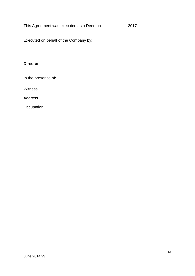This Agreement was executed as a Deed on 2017

Executed on behalf of the Company by:

.......................................... **Director**

In the presence of:

Witness..............................

Address............................

Occupation......................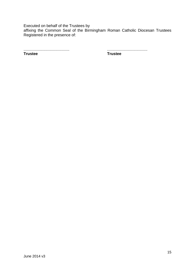Executed on behalf of the Trustees by affixing the Common Seal of the Birmingham Roman Catholic Diocesan Trustees Registered in the presence of:

.......................................... ..................................... **Trustee Trustee**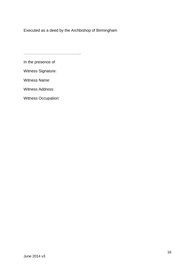Executed as a deed by the Archbishop of Birmingham

……………………………………………

In the presence of

Witness Signature:

Witness Name:

Witness Address:

Witness Occupation: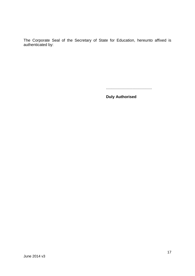The Corporate Seal of the Secretary of State for Education, hereunto affixed is authenticated by:

..........................................

**Duly Authorised**